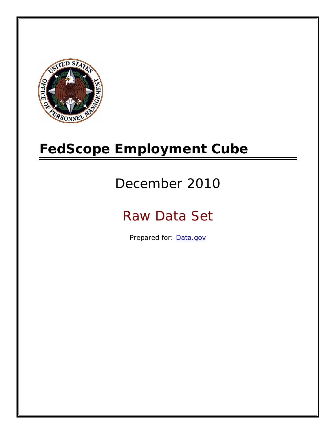

# **FedScope Employment Cube**

# December 2010

# Raw Data Set

Prepared for: [Data.gov](http://www.data.gov/)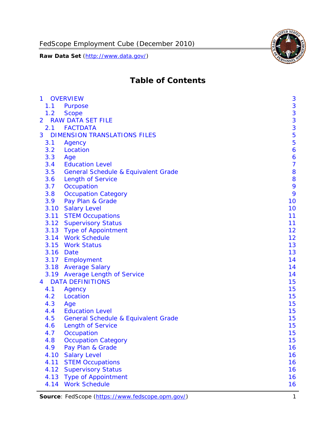FedScope Employment Cube (December 2010)

**Raw Data Set** (http://www.data.gov/)



# **Table of Contents**

| $\mathbf{1}$   | <b>OVERVIEW</b>                                | 3              |
|----------------|------------------------------------------------|----------------|
| 1.1            | Purpose                                        | 3              |
| 1.2            | <b>Scope</b>                                   | 3              |
| $\overline{2}$ | <b>RAW DATA SET FILE</b>                       | 3              |
| 2.1            | <b>FACTDATA</b>                                | 3              |
| 3              | <b>DIMENSION TRANSLATIONS FILES</b>            | 5              |
| 3.1            | Agency                                         | 5              |
| 3.2            | Location                                       | 6              |
| 3.3            | Age                                            | 6              |
| 3.4            | <b>Education Level</b>                         | $\overline{7}$ |
| 3.5            | <b>General Schedule &amp; Equivalent Grade</b> | 8              |
| 3.6            | <b>Length of Service</b>                       | 8              |
| 3.7            | Occupation                                     | 9              |
| 3.8            | <b>Occupation Category</b>                     | 9              |
| 3.9            | Pay Plan & Grade                               | 10             |
| 3.10           | <b>Salary Level</b>                            | 10             |
| 3.11           | <b>STEM Occupations</b>                        | 11             |
|                | 3.12 Supervisory Status                        | 11             |
|                | 3.13 Type of Appointment                       | 12             |
|                | 3.14 Work Schedule                             | 12             |
| 3.15           | <b>Work Status</b>                             | 13             |
|                | 3.16 Date                                      | 13             |
|                | 3.17 Employment                                | 14             |
|                | 3.18 Average Salary                            | 14             |
|                | 3.19 Average Length of Service                 | 14             |
| $\overline{4}$ | <b>DATA DEFINITIONS</b>                        | 15             |
| 4.1            | Agency                                         | 15             |
| 4.2            | Location                                       | 15             |
| 4.3            | Age                                            | 15             |
| 4.4            | <b>Education Level</b>                         | 15             |
| 4.5            | <b>General Schedule &amp; Equivalent Grade</b> | 15             |
| 4.6            | <b>Length of Service</b>                       | 15             |
| 4.7            | Occupation                                     | 15             |
| 4.8            | <b>Occupation Category</b>                     | 15             |
| 4.9            | Pay Plan & Grade                               | 16             |
| 4.10           | <b>Salary Level</b>                            | 16             |
| 4.11           | <b>STEM Occupations</b>                        | 16             |
| 4.12           | <b>Supervisory Status</b>                      | 16             |
| 4.13           | <b>Type of Appointment</b>                     | 16             |
| 4.14           | <b>Work Schedule</b>                           | 16             |

Source: FedScope (https://www.fedscope.opm.gov/) 1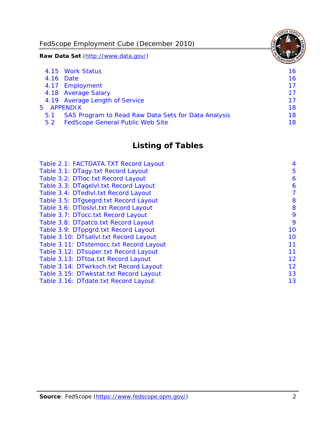FedScope Employment Cube (December 2010)

**Raw Data Set** (http://www.data.gov/)

|     | 4.15 Work Status                                    | 16 |
|-----|-----------------------------------------------------|----|
|     | 4.16 Date                                           | 16 |
|     | 4.17 Employment                                     | 17 |
|     | 4.18 Average Salary                                 | 17 |
|     | 4.19 Average Length of Service                      | 17 |
|     | 5 APPENDIX                                          | 18 |
| 5.1 | SAS Program to Read Raw Data Sets for Data Analysis | 18 |
| 5.2 | <b>FedScope General Public Web Site</b>             | 18 |

# **Listing of Tables**

| Table 2.1: FACTDATA.TXT Record Layout   | 4  |
|-----------------------------------------|----|
| Table 3.1: DTagy.txt Record Layout      | 5  |
| Table 3.2: DTloc.txt Record Layout      | 6  |
| Table 3.3: DTagelvl.txt Record Layout   | 6  |
| Table 3.4: DTedlvl.txt Record Layout    | 7  |
| Table 3.5: DTgsegrd.txt Record Layout   | 8  |
| Table 3.6: DTIoslyl.txt Record Layout   | 8  |
| Table 3.7: DTocc.txt Record Layout      | 9  |
| Table 3.8: DTpatco.txt Record Layout    | 9  |
| Table 3.9: DTppgrd.txt Record Layout    | 10 |
| Table 3.10: DTsallvl.txt Record Layout  | 10 |
| Table 3.11: DTstemocc.txt Record Layout | 11 |
| Table 3.12: DTsuper.txt Record Layout   | 11 |
| Table 3.13: DTtoa.txt Record Layout     | 12 |
| Table 3.14: DTwrksch.txt Record Layout  | 12 |
| Table 3.15: DTwkstat.txt Record Layout  | 13 |
| Table 3.16: DTdate.txt Record Layout    | 13 |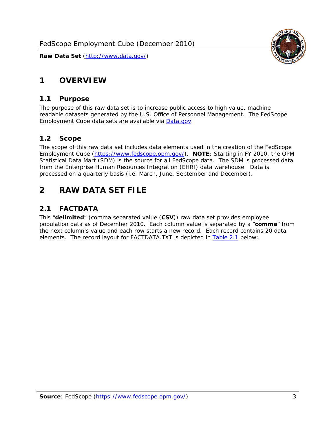# <span id="page-3-0"></span>**1 OVERVIEW**

#### *1.1 Purpose*

<span id="page-3-1"></span>The purpose of this raw data set is to increase public access to high value, machine readable datasets generated by the U.S. Office of Personnel Management. The FedScope Employment Cube data sets are available via [Data.gov](http://www.data.gov/).

## <span id="page-3-2"></span>*1.2 Scope*

The scope of this raw data set includes data elements used in the creation of the FedScope Employment Cube [\(https://www.fedscope.opm.gov/\)](https://www.fedscope.opm.gov/). **NOTE**: Starting in FY 2010, the OPM Statistical Data Mart (SDM) is the source for all FedScope data. The SDM is processed data from the Enterprise Human Resources Integration (EHRI) data warehouse. Data is processed on a quarterly basis (i.e. March, June, September and December).

# <span id="page-3-3"></span>**2 RAW DATA SET FILE**

# <span id="page-3-4"></span>*2.1 FACTDATA*

This "**delimited**" (comma separated value (**CSV**)) raw data set provides employee population data as of December 2010. Each column value is separated by a "**comma**" from the next column's value and each row starts a new record. Each record contains 20 data elements. The record layout for FACTDATA.TXT is depicted in [Table 2.1](#page-4-1) below:

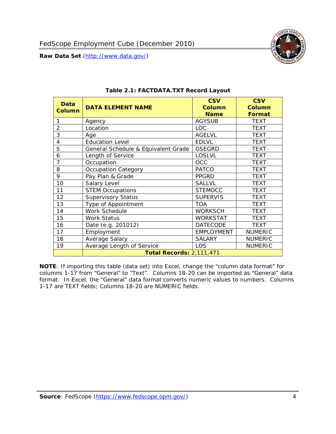

<span id="page-4-1"></span><span id="page-4-0"></span>

| Data<br>Column | <b>DATA ELEMENT NAME</b>            | <b>CSV</b><br><b>Column</b><br><b>Name</b> | <b>CSV</b><br><b>Column</b><br><b>Format</b> |
|----------------|-------------------------------------|--------------------------------------------|----------------------------------------------|
|                | Agency                              | <b>AGYSUB</b>                              | <b>TEXT</b>                                  |
| $\overline{2}$ | Location                            | <b>LOC</b>                                 | <b>TEXT</b>                                  |
| 3              | Age                                 | <b>AGELVL</b>                              | <b>TEXT</b>                                  |
| 4              | <b>Education Level</b>              | <b>EDLVL</b>                               | <b>TEXT</b>                                  |
| 5              | General Schedule & Equivalent Grade | <b>GSEGRD</b>                              | <b>TEXT</b>                                  |
| 6              | Length of Service                   | <b>LOSLVL</b>                              | <b>TEXT</b>                                  |
| $\overline{7}$ | Occupation                          | <b>OCC</b>                                 | <b>TEXT</b>                                  |
| 8              | Occupation Category                 | <b>PATCO</b>                               | <b>TEXT</b>                                  |
| 9              | Pay Plan & Grade                    | <b>PPGRD</b>                               | <b>TEXT</b>                                  |
| 10             | Salary Level                        | <b>SALLVL</b>                              | <b>TEXT</b>                                  |
| 11             | <b>STEM Occupations</b>             | <b>STEMOCC</b>                             | <b>TEXT</b>                                  |
| 12             | Supervisory Status                  | <b>SUPERVIS</b>                            | <b>TEXT</b>                                  |
| 13             | Type of Appointment                 | <b>TOA</b>                                 | <b>TEXT</b>                                  |
| 14             | Work Schedule                       | <b>WORKSCH</b>                             | <b>TEXT</b>                                  |
| 15             | <b>Work Status</b>                  | <b>WORKSTAT</b>                            | <b>TEXT</b>                                  |
| 16             | Date (e.g. 201012)                  | <b>DATECODE</b>                            | <b>TEXT</b>                                  |
| 17             | Employment                          | <b>EMPLOYMENT</b>                          | <b>NUMERIC</b>                               |
| 18             | Average Salary                      | <b>SALARY</b>                              | <b>NUMERIC</b>                               |
| 19             | Average Length of Service           | <b>LOS</b>                                 | <b>NUMERIC</b>                               |
|                | <b>Total Records: 2,111,471</b>     |                                            |                                              |

#### **Table 2.1: FACTDATA.TXT Record Layout**

**NOTE**: If importing this table (data set) into Excel, change the "column data format" for columns 1-17 from "General" to "Text". Columns 18-20 can be imported as "General" data format. In Excel, the "General" data format converts numeric values to numbers. Columns 1-17 are TEXT fields; Columns 18-20 are NUMERIC fields.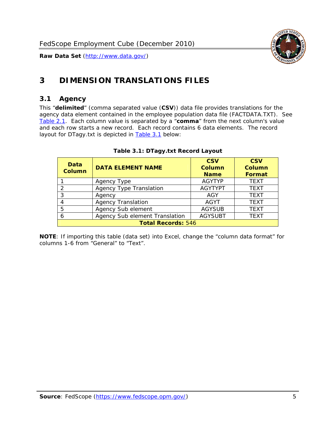

# <span id="page-5-0"></span>**3 DIMENSION TRANSLATIONS FILES**

#### <span id="page-5-1"></span>*3.1 Agency*

<span id="page-5-3"></span><span id="page-5-2"></span>This "**delimited**" (comma separated value (**CSV**)) data file provides translations for the agency data element contained in the employee population data file (FACTDATA.TXT). See [Table 2.1.](#page-4-1) Each column value is separated by a "**comma**" from the next column's value and each row starts a new record. Each record contains 6 data elements. The record layout for DTagy.txt is depicted in [Table 3.1](#page-5-3) below:

| Data<br>Column            | <b>DATA ELEMENT NAME</b>       | <b>CSV</b><br><b>Column</b><br><b>Name</b> | <b>CSV</b><br><b>Column</b><br><b>Format</b> |
|---------------------------|--------------------------------|--------------------------------------------|----------------------------------------------|
|                           | Agency Type                    | <b>AGYTYP</b>                              | <b>TEXT</b>                                  |
| 2                         | <b>Agency Type Translation</b> | <b>AGYTYPT</b>                             | <b>TEXT</b>                                  |
| 3                         | Agency                         | AGY                                        | <b>TEXT</b>                                  |
|                           | <b>Agency Translation</b>      | <b>AGYT</b>                                | <b>TEXT</b>                                  |
| -5                        | Agency Sub element             | <b>AGYSUB</b>                              | <b>TEXT</b>                                  |
|                           | Agency Sub element Translation | <b>AGYSUBT</b>                             | <b>TEXT</b>                                  |
| <b>Total Records: 546</b> |                                |                                            |                                              |

#### **Table 3.1: DTagy.txt Record Layout**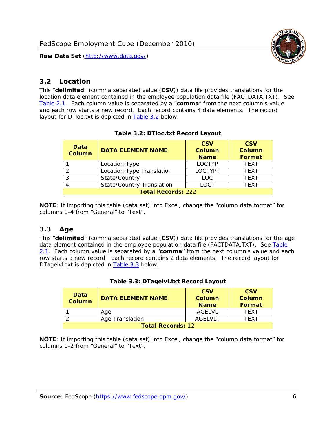

#### <span id="page-6-0"></span>*3.2 Location*

<span id="page-6-4"></span><span id="page-6-2"></span>This "**delimited**" (comma separated value (**CSV**)) data file provides translations for the location data element contained in the employee population data file (FACTDATA.TXT). See [Table 2.1.](#page-4-1) Each column value is separated by a "**comma**" from the next column's value and each row starts a new record. Each record contains 4 data elements. The record layout for DTloc.txt is depicted in [Table 3.2](#page-6-4) below:

| Data<br><b>Column</b>     | <b>DATA ELEMENT NAME</b>         | <b>CSV</b><br>Column<br><b>Name</b> | <b>CSV</b><br><b>Column</b><br><b>Format</b> |
|---------------------------|----------------------------------|-------------------------------------|----------------------------------------------|
|                           | Location Type                    | <b>LOCTYP</b>                       | <b>TEXT</b>                                  |
|                           | Location Type Translation        | <b>LOCTYPT</b>                      | <b>TEXT</b>                                  |
| ົ                         | State/Country                    | <b>LOC</b>                          | <b>TFXT</b>                                  |
|                           | <b>State/Country Translation</b> | LOCT                                | <b>TFXT</b>                                  |
| <b>Total Records: 222</b> |                                  |                                     |                                              |

#### **Table 3.2: DTloc.txt Record Layout**

**NOTE**: If importing this table (data set) into Excel, change the "column data format" for columns 1-4 from "General" to "Text".

#### <span id="page-6-1"></span>*3.3 Age*

<span id="page-6-5"></span><span id="page-6-3"></span>This "**delimited**" (comma separated value (**CSV**)) data file provides translations for the age data element contained in the employee population data file (FACTDATA.TXT). See [Table](#page-4-1) [2.1](#page-4-1). Each column value is separated by a "**comma**" from the next column's value and each row starts a new record. Each record contains 2 data elements. The record layout for DTagelvl.txt is depicted in **[Table 3.3](#page-6-5)** below:

| Data<br><b>Column</b>    | <b>DATA ELEMENT NAME</b> | <b>CSV</b><br>Column<br><b>Name</b> | <b>CSV</b><br>Column<br>Format |
|--------------------------|--------------------------|-------------------------------------|--------------------------------|
|                          | Aae                      | AGFI VI                             | TFXT                           |
|                          | Age Translation          | AGFI VI T                           | TFXT                           |
| <b>Total Records: 12</b> |                          |                                     |                                |

#### **Table 3.3: DTagelvl.txt Record Layout**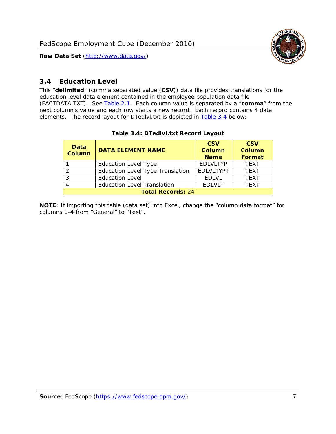

#### <span id="page-7-0"></span>*3.4 Education Level*

<span id="page-7-2"></span><span id="page-7-1"></span>This "**delimited**" (comma separated value (**CSV**)) data file provides translations for the education level data element contained in the employee population data file (FACTDATA.TXT). See [Table 2.1](#page-4-1). Each column value is separated by a "**comma**" from the next column's value and each row starts a new record. Each record contains 4 data elements. The record layout for DTedlvl.txt is depicted in [Table 3.4](#page-7-2) below:

| Data<br><b>Column</b>    | <b>DATA ELEMENT NAME</b>           | <b>CSV</b><br><b>Column</b><br><b>Name</b> | <b>CSV</b><br><b>Column</b><br><b>Format</b> |
|--------------------------|------------------------------------|--------------------------------------------|----------------------------------------------|
|                          | <b>Education Level Type</b>        | <b>EDLVLTYP</b>                            | <b>TEXT</b>                                  |
|                          | Education Level Type Translation   | <b>EDLVLTYPT</b>                           | <b>TEXT</b>                                  |
|                          | <b>Education Level</b>             | <b>EDLVL</b>                               | <b>TEXT</b>                                  |
|                          | <b>Education Level Translation</b> | <b>EDLVLT</b>                              | <b>TEXT</b>                                  |
| <b>Total Records: 24</b> |                                    |                                            |                                              |

#### **Table 3.4: DTedlvl.txt Record Layout**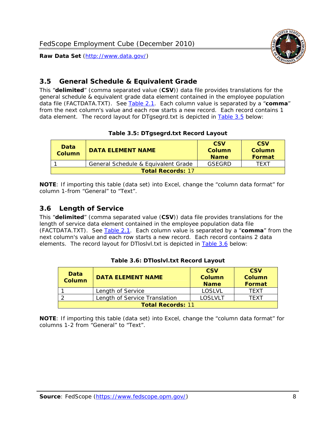<span id="page-8-0"></span>

This "**delimited**" (comma separated value (**CSV**)) data file provides translations for the general schedule & equivalent grade data element contained in the employee population data file (FACTDATA.TXT). See [Table 2.1](#page-4-1). Each column value is separated by a "**comma**" from the next column's value and each row starts a new record. Each record contains 1 data element. The record layout for DTgsegrd.txt is depicted in [Table 3.5](#page-8-4) below:

#### **Table 3.5: DTgsegrd.txt Record Layout**

<span id="page-8-4"></span><span id="page-8-2"></span>

| Data<br>Column           | <b>DATA ELEMENT NAME</b>            | <b>CSV</b><br>Column<br><b>Name</b> | <b>CSV</b><br>Column<br><b>Format</b> |
|--------------------------|-------------------------------------|-------------------------------------|---------------------------------------|
|                          | General Schedule & Equivalent Grade | GSFGRD                              | <b>TFXT</b>                           |
| <b>Total Records: 17</b> |                                     |                                     |                                       |

**NOTE**: If importing this table (data set) into Excel, change the "column data format" for column 1-from "General" to "Text".

#### <span id="page-8-1"></span>*3.6 Length of Service*

<span id="page-8-5"></span>This "**delimited**" (comma separated value (**CSV**)) data file provides translations for the length of service data element contained in the employee population data file (FACTDATA.TXT). See [Table 2.1](#page-4-1). Each column value is separated by a "**comma**" from the next column's value and each row starts a new record. Each record contains 2 data elements. The record layout for DTloslvl.txt is depicted in [Table 3.6](#page-8-5) below:

<span id="page-8-3"></span>

| Data<br><b>Column</b>    | <b>DATA ELEMENT NAME</b>      | <b>CSV</b><br><b>Column</b><br><b>Name</b> | <b>CSV</b><br>Column<br>Format |
|--------------------------|-------------------------------|--------------------------------------------|--------------------------------|
|                          | Length of Service             | LOSLVL                                     | TFXT                           |
|                          | Length of Service Translation | LOSI VLT                                   | TFXT                           |
| <b>Total Records: 11</b> |                               |                                            |                                |

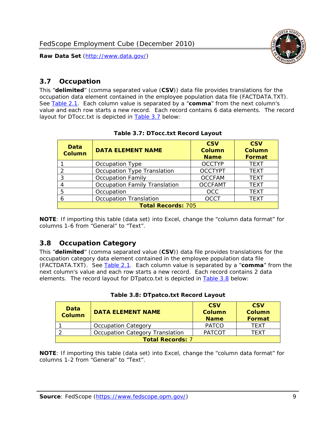

#### <span id="page-9-0"></span>*3.7 Occupation*

<span id="page-9-4"></span>This "**delimited**" (comma separated value (**CSV**)) data file provides translations for the occupation data element contained in the employee population data file (FACTDATA.TXT). See [Table 2.1](#page-4-1). Each column value is separated by a "**comma**" from the next column's value and each row starts a new record. Each record contains 6 data elements. The record layout for DTocc.txt is depicted in [Table 3.7](#page-9-4) below:

<span id="page-9-2"></span>

| Data<br><b>Column</b>     | <b>DATA ELEMENT NAME</b>             | <b>CSV</b><br><b>Column</b><br><b>Name</b> | <b>CSV</b><br><b>Column</b><br><b>Format</b> |
|---------------------------|--------------------------------------|--------------------------------------------|----------------------------------------------|
|                           | Occupation Type                      | <b>OCCTYP</b>                              | <b>TEXT</b>                                  |
|                           | Occupation Type Translation          | <b>OCCTYPT</b>                             | <b>TEXT</b>                                  |
| 3                         | <b>Occupation Family</b>             | <b>OCCFAM</b>                              | <b>TEXT</b>                                  |
|                           | <b>Occupation Family Translation</b> | <b>OCCFAMT</b>                             | <b>TEXT</b>                                  |
| 5                         | Occupation                           | <b>OCC</b>                                 | <b>TEXT</b>                                  |
|                           | <b>Occupation Translation</b>        | <b>OCCT</b>                                | <b>TEXT</b>                                  |
| <b>Total Records: 705</b> |                                      |                                            |                                              |

#### **Table 3.7: DTocc.txt Record Layout**

**NOTE**: If importing this table (data set) into Excel, change the "column data format" for columns 1-6 from "General" to "Text".

#### <span id="page-9-1"></span>*3.8 Occupation Category*

<span id="page-9-5"></span>This "**delimited**" (comma separated value (**CSV**)) data file provides translations for the occupation category data element contained in the employee population data file (FACTDATA.TXT). See [Table 2.1](#page-4-1). Each column value is separated by a "**comma**" from the next column's value and each row starts a new record. Each record contains 2 data elements. The record layout for DTpatco.txt is depicted in [Table 3.8](#page-9-5) below:

<span id="page-9-3"></span>

| Data<br><b>Column</b>   | <b>DATA ELEMENT NAME</b>        | <b>CSV</b><br>Column<br><b>Name</b> | <b>CSV</b><br>Column<br>Format |  |
|-------------------------|---------------------------------|-------------------------------------|--------------------------------|--|
|                         | <b>Occupation Category</b>      | <b>PATCO</b>                        | <b>TFXT</b>                    |  |
|                         | Occupation Category Translation | <b>PATCOT</b>                       | TFXT                           |  |
| <b>Total Records: 7</b> |                                 |                                     |                                |  |

| Table 3.8: DTpatco.txt Record Layout |  |
|--------------------------------------|--|
|--------------------------------------|--|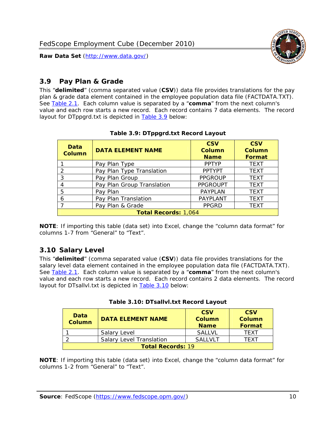

#### <span id="page-10-0"></span>*3.9 Pay Plan & Grade*

<span id="page-10-4"></span>This "**delimited**" (comma separated value (**CSV**)) data file provides translations for the pay plan & grade data element contained in the employee population data file (FACTDATA.TXT). See [Table 2.1](#page-4-1). Each column value is separated by a "**comma**" from the next column's value and each row starts a new record. Each record contains 7 data elements. The record layout for DTppgrd.txt is depicted in **Table 3.9** below:

<span id="page-10-2"></span>

| Data<br><b>Column</b>       | <b>DATA ELEMENT NAME</b>   | <b>CSV</b><br>Column<br><b>Name</b> | <b>CSV</b><br>Column<br><b>Format</b> |  |
|-----------------------------|----------------------------|-------------------------------------|---------------------------------------|--|
|                             | Pay Plan Type              | <b>PPTYP</b>                        | <b>TEXT</b>                           |  |
| $\mathcal{P}$               | Pay Plan Type Translation  | <b>PPTYPT</b>                       | <b>TEXT</b>                           |  |
| 3                           | Pay Plan Group             | <b>PPGROUP</b>                      | <b>TEXT</b>                           |  |
|                             | Pay Plan Group Translation | <b>PPGROUPT</b>                     | <b>TEXT</b>                           |  |
| 5                           | Pay Plan                   | <b>PAYPLAN</b>                      | <b>TEXT</b>                           |  |
| 6                           | Pay Plan Translation       | PAYPLANT                            | <b>TEXT</b>                           |  |
|                             | Pay Plan & Grade           | <b>PPGRD</b>                        | <b>TEXT</b>                           |  |
| <b>Total Records: 1,064</b> |                            |                                     |                                       |  |

#### **Table 3.9: DTppgrd.txt Record Layout**

**NOTE**: If importing this table (data set) into Excel, change the "column data format" for columns 1-7 from "General" to "Text".

## <span id="page-10-1"></span>*3.10 Salary Level*

<span id="page-10-5"></span><span id="page-10-3"></span>This "**delimited**" (comma separated value (**CSV**)) data file provides translations for the salary level data element contained in the employee population data file (FACTDATA.TXT). See [Table 2.1](#page-4-1). Each column value is separated by a "**comma**" from the next column's value and each row starts a new record. Each record contains 2 data elements. The record layout for DTsallvl.txt is depicted in [Table 3.10](#page-10-5) below:

| <b>Data</b><br>Column    | <b>DATA ELEMENT NAME</b>        | <b>CSV</b><br>Column<br><b>Name</b> | <b>CSV</b><br>Column<br><b>Format</b> |
|--------------------------|---------------------------------|-------------------------------------|---------------------------------------|
|                          | Salary Level                    | <b>SALLVL</b>                       | TFXT                                  |
|                          | <b>Salary Level Translation</b> | SAI I VI T                          | TEXT                                  |
| <b>Total Records: 19</b> |                                 |                                     |                                       |

| Table 3.10: DTsallvl.txt Record Layout |
|----------------------------------------|
|----------------------------------------|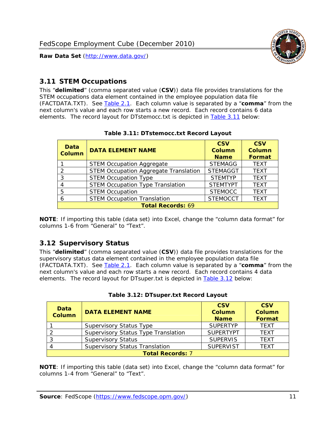

#### <span id="page-11-0"></span>*3.11 STEM Occupations*

<span id="page-11-4"></span>This "**delimited**" (comma separated value (**CSV**)) data file provides translations for the STEM occupations data element contained in the employee population data file (FACTDATA.TXT). See [Table 2.1](#page-4-1). Each column value is separated by a "**comma**" from the next column's value and each row starts a new record. Each record contains 6 data elements. The record layout for DTstemocc.txt is depicted in [Table 3.11](#page-11-4) below:

<span id="page-11-2"></span>

| <b>Data</b><br><b>Column</b> | <b>DATA ELEMENT NAME</b>                     | <b>CSV</b><br><b>Column</b><br><b>Name</b> | <b>CSV</b><br><b>Column</b><br>Format |  |
|------------------------------|----------------------------------------------|--------------------------------------------|---------------------------------------|--|
|                              | <b>STEM Occupation Aggregate</b>             | <b>STEMAGG</b>                             | <b>TEXT</b>                           |  |
|                              | <b>STEM Occupation Aggregate Translation</b> | <b>STEMAGGT</b>                            | <b>TEXT</b>                           |  |
| 3                            | <b>STEM Occupation Type</b>                  | <b>STEMTYP</b>                             | <b>TFXT</b>                           |  |
|                              | <b>STEM Occupation Type Translation</b>      | <b>STEMTYPT</b>                            | <b>TEXT</b>                           |  |
| 5                            | <b>STEM Occupation</b>                       | <b>STEMOCC</b>                             | <b>TEXT</b>                           |  |
|                              | <b>STEM Occupation Translation</b>           | <b>STEMOCCT</b>                            | <b>TEXT</b>                           |  |
| <b>Total Records: 69</b>     |                                              |                                            |                                       |  |

#### **Table 3.11: DTstemocc.txt Record Layout**

**NOTE**: If importing this table (data set) into Excel, change the "column data format" for columns 1-6 from "General" to "Text".

# <span id="page-11-1"></span>*3.12 Supervisory Status*

This "**delimited**" (comma separated value (**CSV**)) data file provides translations for the supervisory status data element contained in the employee population data file (FACTDATA.TXT). See [Table 2.1](#page-4-1). Each column value is separated by a "**comma**" from the next column's value and each row starts a new record. Each record contains 4 data elements. The record layout for DTsuper.txt is depicted in [Table 3.12](#page-11-5) below:

<span id="page-11-5"></span><span id="page-11-3"></span>

| Data<br><b>Column</b>   | <b>DATA ELEMENT NAME</b>              | <b>CSV</b><br>Column<br><b>Name</b> | <b>CSV</b><br><b>Column</b><br>Format |  |
|-------------------------|---------------------------------------|-------------------------------------|---------------------------------------|--|
|                         | <b>Supervisory Status Type</b>        | <b>SUPERTYP</b>                     | <b>TEXT</b>                           |  |
|                         | Supervisory Status Type Translation   | <b>SUPERTYPT</b>                    | <b>TEXT</b>                           |  |
|                         | <b>Supervisory Status</b>             | <b>SUPERVIS</b>                     | <b>TEXT</b>                           |  |
|                         | <b>Supervisory Status Translation</b> | <b>SUPERVIST</b>                    | <b>TEXT</b>                           |  |
| <b>Total Records: 7</b> |                                       |                                     |                                       |  |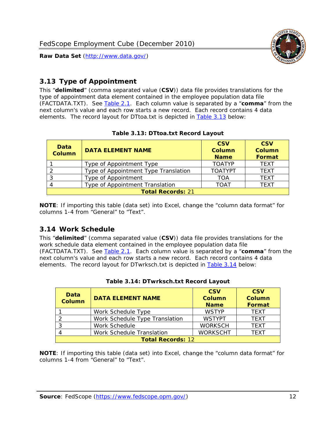

#### <span id="page-12-0"></span>*3.13 Type of Appointment*

This "**delimited**" (comma separated value (**CSV**)) data file provides translations for the type of appointment data element contained in the employee population data file (FACTDATA.TXT). See [Table 2.1](#page-4-1). Each column value is separated by a "**comma**" from the next column's value and each row starts a new record. Each record contains 4 data elements. The record layout for DTtoa.txt is depicted in [Table 3.13](#page-12-4) below:

<span id="page-12-4"></span><span id="page-12-2"></span>

| Data<br><b>Column</b>    | <b>DATA ELEMENT NAME</b>             | <b>CSV</b><br><b>Column</b><br><b>Name</b> | <b>CSV</b><br><b>Column</b><br>Format |  |
|--------------------------|--------------------------------------|--------------------------------------------|---------------------------------------|--|
|                          | Type of Appointment Type             | <b>TOATYP</b>                              | <b>TEXT</b>                           |  |
|                          | Type of Appointment Type Translation | <b>TOATYPT</b>                             | <b>TEXT</b>                           |  |
|                          | Type of Appointment                  | TOA                                        | <b>TEXT</b>                           |  |
|                          | Type of Appointment Translation      | TOAT                                       | <b>TFXT</b>                           |  |
| <b>Total Records: 21</b> |                                      |                                            |                                       |  |

#### **Table 3.13: DTtoa.txt Record Layout**

**NOTE**: If importing this table (data set) into Excel, change the "column data format" for columns 1-4 from "General" to "Text".

#### <span id="page-12-1"></span>*3.14 Work Schedule*

<span id="page-12-5"></span>This "**delimited**" (comma separated value (**CSV**)) data file provides translations for the work schedule data element contained in the employee population data file (FACTDATA.TXT). See [Table 2.1](#page-4-1). Each column value is separated by a "**comma**" from the next column's value and each row starts a new record. Each record contains 4 data elements. The record layout for DTwrksch.txt is depicted in [Table 3.14](#page-12-5) below:

<span id="page-12-3"></span>

| Data<br>Column           | <b>DATA ELEMENT NAME</b>       | <b>CSV</b><br><b>Column</b><br><b>Name</b> | <b>CSV</b><br>Column<br>Format |  |
|--------------------------|--------------------------------|--------------------------------------------|--------------------------------|--|
|                          | Work Schedule Type             | <b>WSTYP</b>                               | <b>TEXT</b>                    |  |
|                          | Work Schedule Type Translation | <b>WSTYPT</b>                              | <b>TFXT</b>                    |  |
| 3                        | Work Schedule                  | <b>WORKSCH</b>                             | <b>TFXT</b>                    |  |
|                          | Work Schedule Translation      | <b>WORKSCHT</b>                            | <b>TEXT</b>                    |  |
| <b>Total Records: 12</b> |                                |                                            |                                |  |

|  | Table 3.14: DTwrksch.txt Record Layout |  |
|--|----------------------------------------|--|
|  |                                        |  |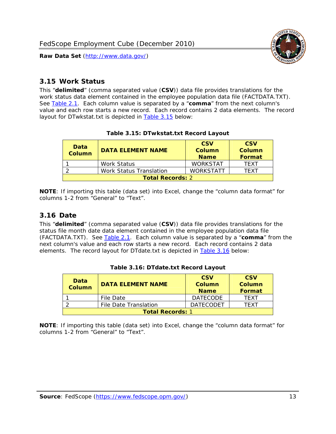

#### <span id="page-13-0"></span>*3.15 Work Status*

<span id="page-13-4"></span><span id="page-13-2"></span>This "**delimited**" (comma separated value (**CSV**)) data file provides translations for the work status data element contained in the employee population data file (FACTDATA.TXT). See [Table 2.1](#page-4-1). Each column value is separated by a "**comma**" from the next column's value and each row starts a new record. Each record contains 2 data elements. The record layout for DTwkstat.txt is depicted in [Table 3.15](#page-13-4) below:

| Data<br><b>Column</b>   | <b>DATA ELEMENT NAME</b>       | <b>CSV</b><br>Column<br><b>Name</b> | <b>CSV</b><br>Column<br><b>Format</b> |
|-------------------------|--------------------------------|-------------------------------------|---------------------------------------|
|                         | <b>Work Status</b>             | <b>WORKSTAT</b>                     | TFXT                                  |
|                         | <b>Work Status Translation</b> | <b>WORKSTATT</b>                    | TFXT                                  |
| <b>Total Records: 2</b> |                                |                                     |                                       |

#### **Table 3.15: DTwkstat.txt Record Layout**

**NOTE**: If importing this table (data set) into Excel, change the "column data format" for columns 1-2 from "General" to "Text".

#### <span id="page-13-1"></span>*3.16 Date*

<span id="page-13-5"></span><span id="page-13-3"></span>This "**delimited**" (comma separated value (**CSV**)) data file provides translations for the status file month date data element contained in the employee population data file (FACTDATA.TXT). See [Table 2.1](#page-4-1). Each column value is separated by a "**comma**" from the next column's value and each row starts a new record. Each record contains 2 data elements. The record layout for DTdate.txt is depicted in [Table 3.16](#page-13-5) below:

| Data<br><b>Column</b>   | <b>DATA ELEMENT NAME</b> | <b>CSV</b><br>Column<br><b>Name</b> | <b>CSV</b><br>Column<br><b>Format</b> |
|-------------------------|--------------------------|-------------------------------------|---------------------------------------|
|                         | File Date                | <b>DATECODE</b>                     | TFXT                                  |
|                         | File Date Translation    | <b>DATECODET</b>                    | TFXT                                  |
| <b>Total Records: 1</b> |                          |                                     |                                       |

**Table 3.16: DTdate.txt Record Layout**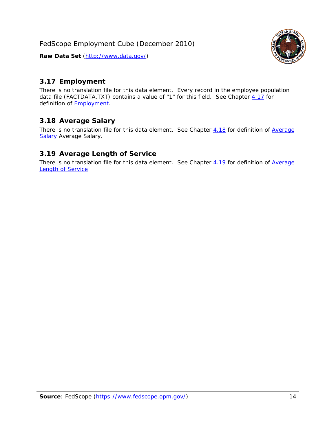

#### <span id="page-14-0"></span>*3.17 Employment*

There is no translation file for this data element. Every record in the employee population data file (FACTDATA.TXT) contains a value of "1" for this field. See Chapter [4.17](#page-16-8) for definition of **Employment**.

#### <span id="page-14-1"></span>*3.18 Average Salary*

There is no translation file for this data element. See Chapter [4.18](#page-17-1) for definition of [Average](#page-17-1) **[Salary](#page-17-1) [Average Salary.](#page-17-1)** 

#### <span id="page-14-2"></span>*3.19 Average Length of Service*

There is no translation file for this data element. See Chapter [4.19](#page-17-2) for definition of [Average](#page-17-2) Length of Service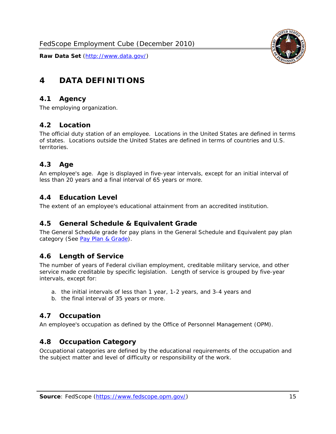

# <span id="page-15-0"></span>**4 DATA DEFINITIONS**

#### <span id="page-15-1"></span>*4.1 Agency*

The employing organization.

#### <span id="page-15-2"></span>*4.2 Location*

The official duty station of an employee. Locations in the United States are defined in terms of states. Locations outside the United States are defined in terms of countries and U.S. territories.

#### <span id="page-15-3"></span>*4.3 Age*

An employee's age. Age is displayed in five-year intervals, except for an initial interval of less than 20 years and a final interval of 65 years or more.

#### <span id="page-15-4"></span>*4.4 Education Level*

The extent of an employee's educational attainment from an accredited institution.

#### <span id="page-15-5"></span>*4.5 General Schedule & Equivalent Grade*

The General Schedule grade for pay plans in the General Schedule and Equivalent pay plan category (See [Pay Plan & Grade](#page-16-0)).

#### <span id="page-15-6"></span>*4.6 Length of Service*

The number of years of Federal civilian employment, creditable military service, and other service made creditable by specific legislation. Length of service is grouped by five-year intervals, except for:

- a. the initial intervals of less than 1 year, 1-2 years, and 3-4 years and
- b. the final interval of 35 years or more.

#### <span id="page-15-7"></span>*4.7 Occupation*

An employee's occupation as defined by the Office of Personnel Management (OPM).

#### <span id="page-15-8"></span>*4.8 Occupation Category*

Occupational categories are defined by the educational requirements of the occupation and the subject matter and level of difficulty or responsibility of the work.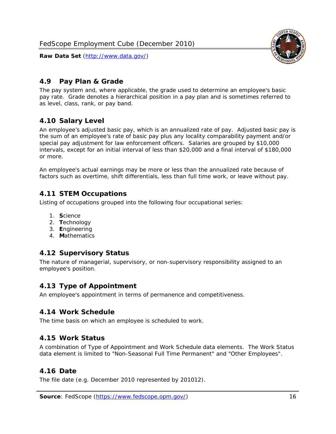<span id="page-16-0"></span>

The pay system and, where applicable, the grade used to determine an employee's basic pay rate. Grade denotes a hierarchical position in a pay plan and is sometimes referred to as level, class, rank, or pay band.

# <span id="page-16-1"></span>*4.10 Salary Level*

An employee's adjusted basic pay, which is an annualized rate of pay. Adjusted basic pay is the sum of an employee's rate of basic pay plus any locality comparability payment and/or special pay adjustment for law enforcement officers. Salaries are grouped by \$10,000 intervals, except for an initial interval of less than \$20,000 and a final interval of \$180,000 or more.

An employee's actual earnings may be more or less than the annualized rate because of factors such as overtime, shift differentials, less than full time work, or leave without pay.

## <span id="page-16-2"></span>*4.11 STEM Occupations*

Listing of occupations grouped into the following four occupational series:

- 1. **S**cience
- 2. **T**echnology
- 3. **E**ngineering
- 4. **M**athematics

## <span id="page-16-3"></span>*4.12 Supervisory Status*

The nature of managerial, supervisory, or non-supervisory responsibility assigned to an employee's position.

#### <span id="page-16-4"></span>*4.13 Type of Appointment*

An employee's appointment in terms of permanence and competitiveness.

#### <span id="page-16-5"></span>*4.14 Work Schedule*

The time basis on which an employee is scheduled to work.

#### <span id="page-16-6"></span>*4.15 Work Status*

A combination of Type of Appointment and Work Schedule data elements. The Work Status data element is limited to "Non-Seasonal Full Time Permanent" and "Other Employees".

#### <span id="page-16-7"></span>*4.16 Date*

<span id="page-16-8"></span>The file date (e.g. December 2010 represented by 201012).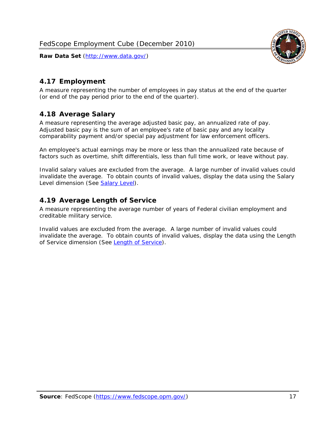

## <span id="page-17-0"></span>*4.17 Employment*

A measure representing the number of employees in pay status at the end of the quarter (or end of the pay period prior to the end of the quarter).

## <span id="page-17-1"></span>*4.18 Average Salary*

A measure representing the average adjusted basic pay, an annualized rate of pay. Adjusted basic pay is the sum of an employee's rate of basic pay and any locality comparability payment and/or special pay adjustment for law enforcement officers.

An employee's actual earnings may be more or less than the annualized rate because of factors such as overtime, shift differentials, less than full time work, or leave without pay.

Invalid salary values are excluded from the average. A large number of invalid values could invalidate the average. To obtain counts of invalid values, display the data using the Salary Level dimension (See [Salary Level\)](#page-16-1).

## <span id="page-17-2"></span>*4.19 Average Length of Service*

A measure representing the average number of years of Federal civilian employment and creditable military service.

Invalid values are excluded from the average. A large number of invalid values could invalidate the average. To obtain counts of invalid values, display the data using the Length of Service dimension (See [Length of Service](#page-15-6)).